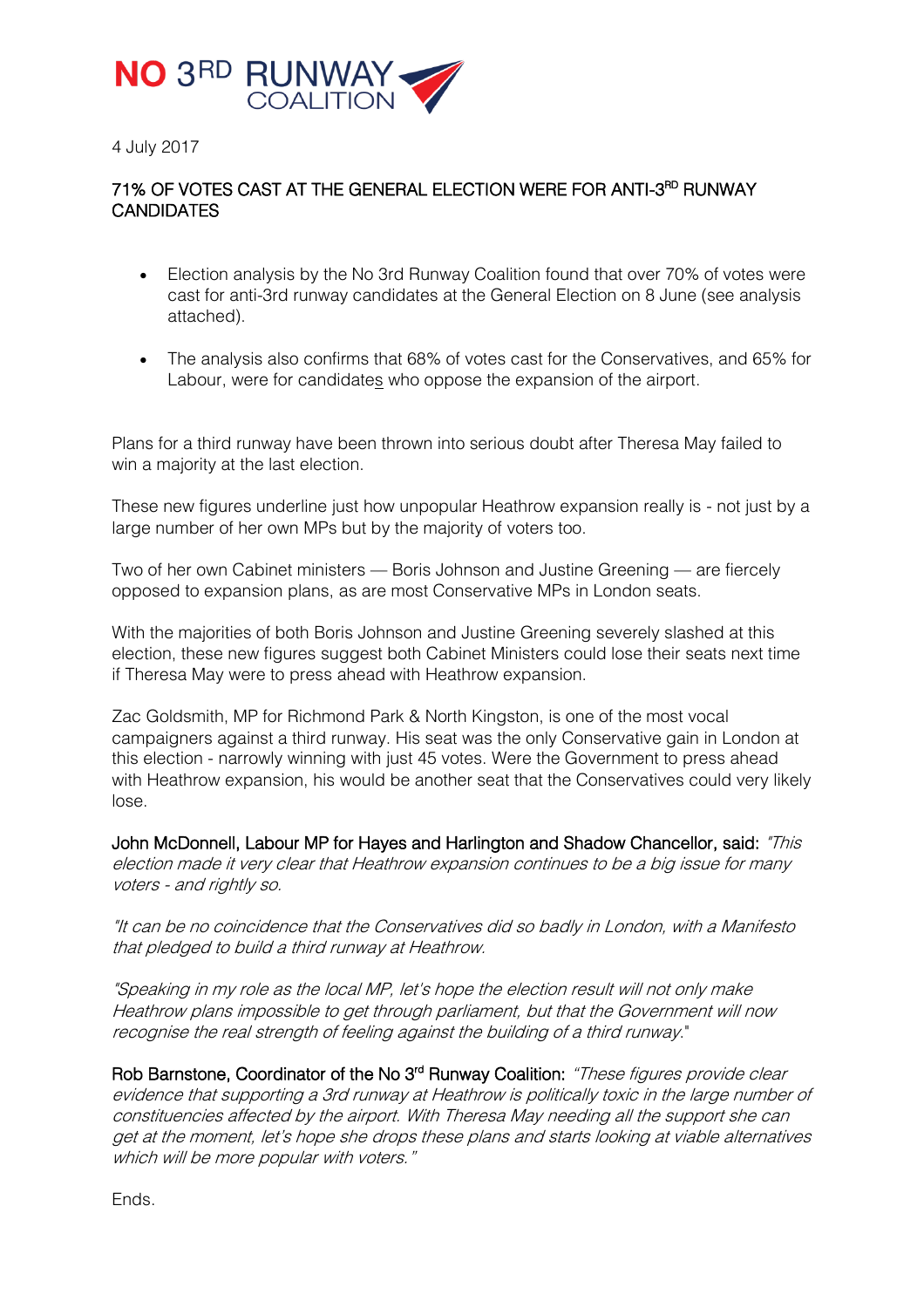

4 July 2017

# 71% OF VOTES CAST AT THE GENERAL ELECTION WERE FOR ANTI-3<sup>RD</sup> RUNWAY **CANDIDATES**

- Election analysis by the No 3rd Runway Coalition found that over 70% of votes were cast for anti-3rd runway candidates at the General Election on 8 June (see analysis attached).
- The analysis also confirms that 68% of votes cast for the Conservatives, and 65% for Labour, were for candidates who oppose the expansion of the airport.

Plans for a third runway have been thrown into serious doubt after Theresa May failed to win a majority at the last election.

These new figures underline just how unpopular Heathrow expansion really is - not just by a large number of her own MPs but by the majority of voters too.

Two of her own Cabinet ministers — Boris Johnson and Justine Greening — are fiercely opposed to expansion plans, as are most Conservative MPs in London seats.

With the majorities of both Boris Johnson and Justine Greening severely slashed at this election, these new figures suggest both Cabinet Ministers could lose their seats next time if Theresa May were to press ahead with Heathrow expansion.

Zac Goldsmith, MP for Richmond Park & North Kingston, is one of the most vocal campaigners against a third runway. His seat was the only Conservative gain in London at this election - narrowly winning with just 45 votes. Were the Government to press ahead with Heathrow expansion, his would be another seat that the Conservatives could very likely lose.

John McDonnell, Labour MP for Hayes and Harlington and Shadow Chancellor, said: "This election made it very clear that Heathrow expansion continues to be a big issue for many voters - and rightly so.

"It can be no coincidence that the Conservatives did so badly in London, with a Manifesto that pledged to build a third runway at Heathrow.

"Speaking in my role as the local MP, let's hope the election result will not only make Heathrow plans impossible to get through parliament, but that the Government will now recognise the real strength of feeling against the building of a third runway."

Rob Barnstone, Coordinator of the No 3<sup>rd</sup> Runway Coalition: "These figures provide clear evidence that supporting a 3rd runway at Heathrow is politically toxic in the large number of constituencies affected by the airport. With Theresa May needing all the support she can get at the moment, let's hope she drops these plans and starts looking at viable alternatives which will be more popular with voters."

Ends.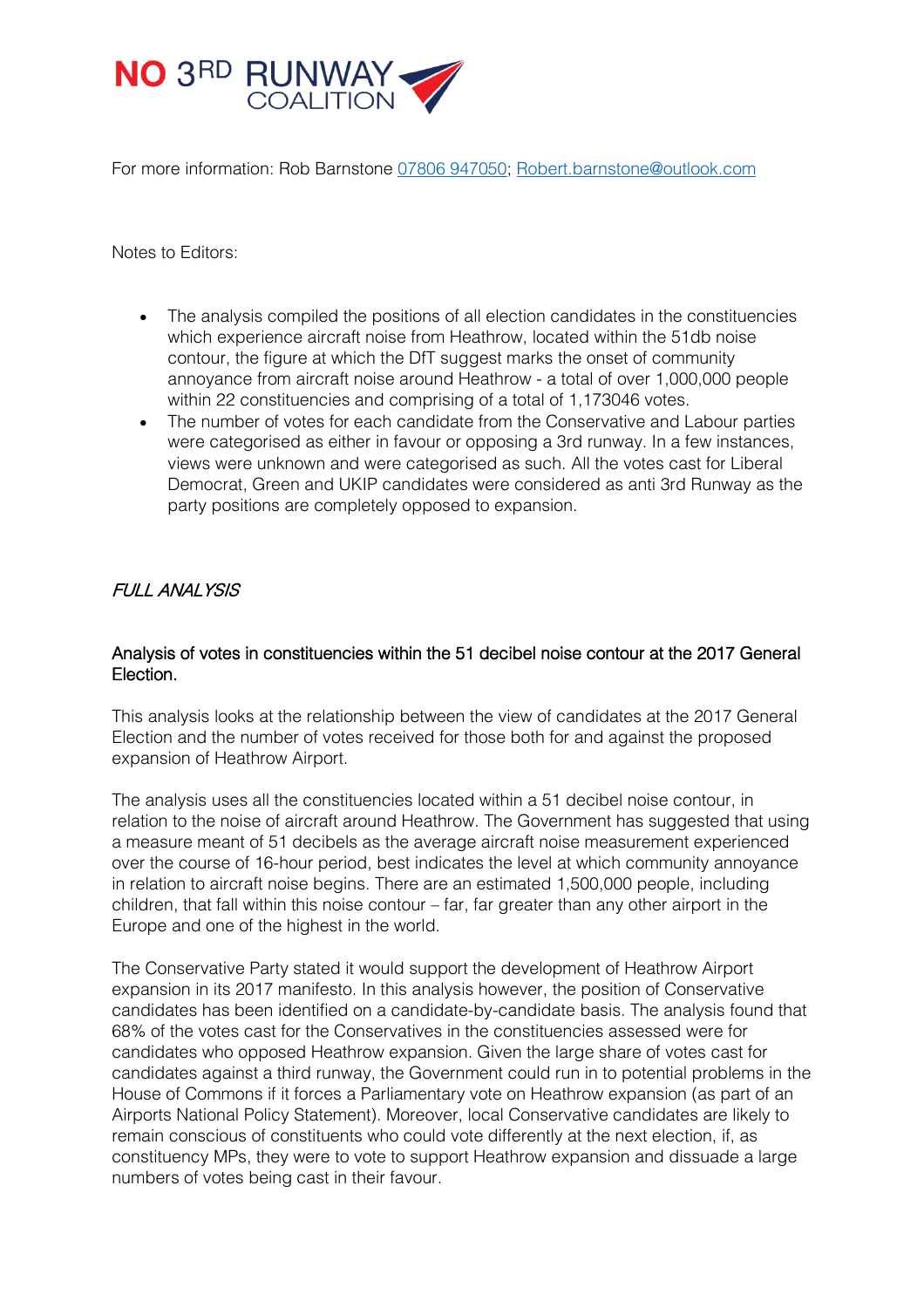

For more information: Rob Barnstone [07806 947050;](tel:07806%20947050) [Robert.barnstone@outlook.com](mailto:Robert.barnstone@outlook.com)

Notes to Editors:

- The analysis compiled the positions of all election candidates in the constituencies which experience aircraft noise from Heathrow, located within the 51db noise contour, the figure at which the DfT suggest marks the onset of community annoyance from aircraft noise around Heathrow - a total of over 1,000,000 people within 22 constituencies and comprising of a total of 1,173046 votes.
- The number of votes for each candidate from the Conservative and Labour parties were categorised as either in favour or opposing a 3rd runway. In a few instances, views were unknown and were categorised as such. All the votes cast for Liberal Democrat, Green and UKIP candidates were considered as anti 3rd Runway as the party positions are completely opposed to expansion.

# FULL ANALYSIS

## Analysis of votes in constituencies within the 51 decibel noise contour at the 2017 General Election.

This analysis looks at the relationship between the view of candidates at the 2017 General Election and the number of votes received for those both for and against the proposed expansion of Heathrow Airport.

The analysis uses all the constituencies located within a 51 decibel noise contour, in relation to the noise of aircraft around Heathrow. The Government has suggested that using a measure meant of 51 decibels as the average aircraft noise measurement experienced over the course of 16-hour period, best indicates the level at which community annoyance in relation to aircraft noise begins. There are an estimated 1,500,000 people, including children, that fall within this noise contour – far, far greater than any other airport in the Europe and one of the highest in the world.

The Conservative Party stated it would support the development of Heathrow Airport expansion in its 2017 manifesto. In this analysis however, the position of Conservative candidates has been identified on a candidate-by-candidate basis. The analysis found that 68% of the votes cast for the Conservatives in the constituencies assessed were for candidates who opposed Heathrow expansion. Given the large share of votes cast for candidates against a third runway, the Government could run in to potential problems in the House of Commons if it forces a Parliamentary vote on Heathrow expansion (as part of an Airports National Policy Statement). Moreover, local Conservative candidates are likely to remain conscious of constituents who could vote differently at the next election, if, as constituency MPs, they were to vote to support Heathrow expansion and dissuade a large numbers of votes being cast in their favour.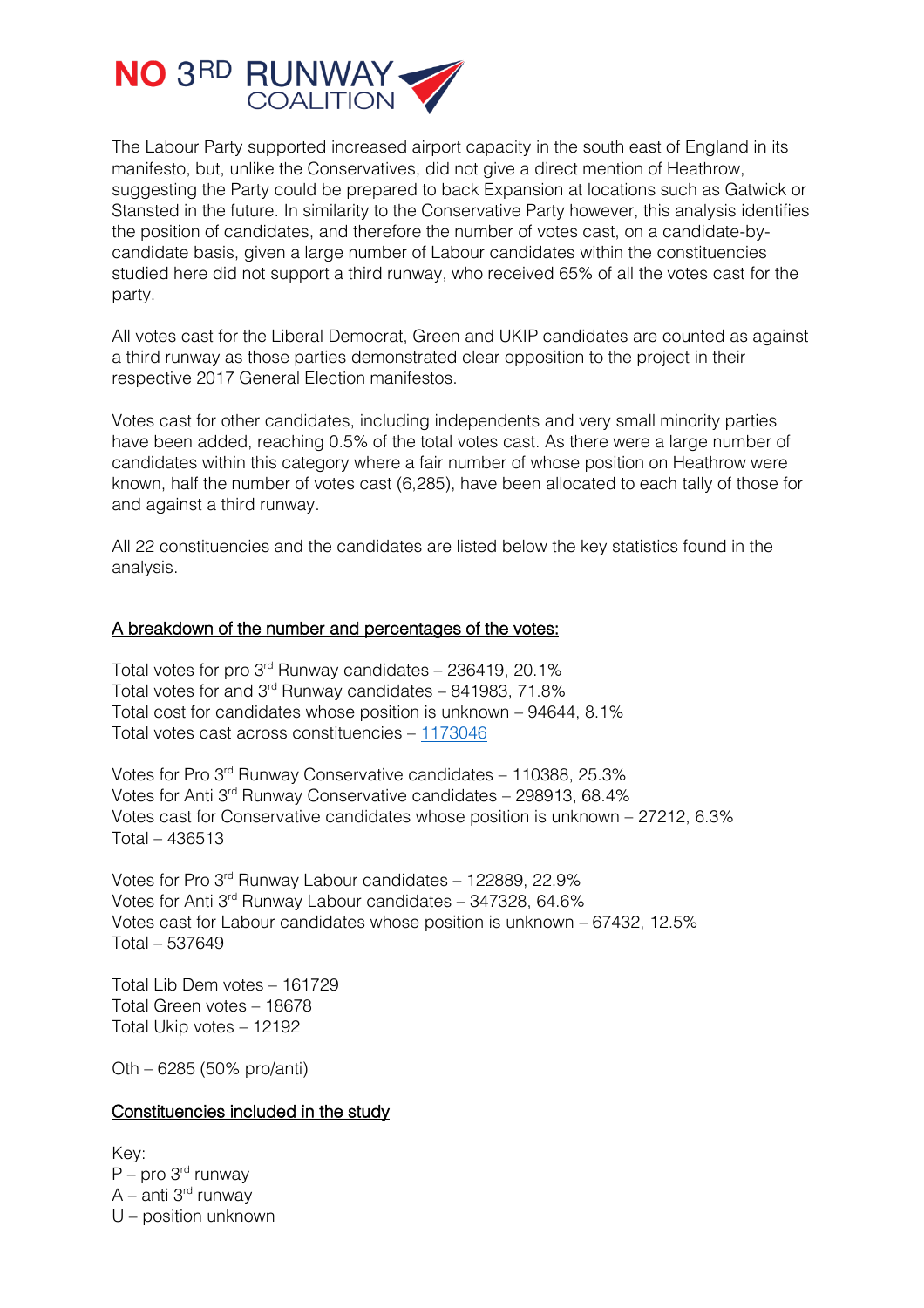

The Labour Party supported increased airport capacity in the south east of England in its manifesto, but, unlike the Conservatives, did not give a direct mention of Heathrow, suggesting the Party could be prepared to back Expansion at locations such as Gatwick or Stansted in the future. In similarity to the Conservative Party however, this analysis identifies the position of candidates, and therefore the number of votes cast, on a candidate-bycandidate basis, given a large number of Labour candidates within the constituencies studied here did not support a third runway, who received 65% of all the votes cast for the party.

All votes cast for the Liberal Democrat, Green and UKIP candidates are counted as against a third runway as those parties demonstrated clear opposition to the project in their respective 2017 General Election manifestos.

Votes cast for other candidates, including independents and very small minority parties have been added, reaching 0.5% of the total votes cast. As there were a large number of candidates within this category where a fair number of whose position on Heathrow were known, half the number of votes cast (6,285), have been allocated to each tally of those for and against a third runway.

All 22 constituencies and the candidates are listed below the key statistics found in the analysis.

## A breakdown of the number and percentages of the votes:

Total votes for pro  $3<sup>rd</sup>$  Runway candidates – 236419, 20.1% Total votes for and  $3<sup>rd</sup>$  Runway candidates – 841983, 71.8% Total cost for candidates whose position is unknown – 94644, 8.1% Total votes cast across constituencies – [1173046](tel:1173046)

Votes for Pro 3rd Runway Conservative candidates – 110388, 25.3% Votes for Anti 3rd Runway Conservative candidates – 298913, 68.4% Votes cast for Conservative candidates whose position is unknown – 27212, 6.3% Total – 436513

Votes for Pro 3rd Runway Labour candidates – 122889, 22.9% Votes for Anti 3rd Runway Labour candidates – 347328, 64.6% Votes cast for Labour candidates whose position is unknown – 67432, 12.5% Total – 537649

Total Lib Dem votes – 161729 Total Green votes – 18678 Total Ukip votes – 12192

Oth – 6285 (50% pro/anti)

#### Constituencies included in the study

Key:  $P$  – pro 3<sup>rd</sup> runway  $A$  – anti 3<sup>rd</sup> runway U – position unknown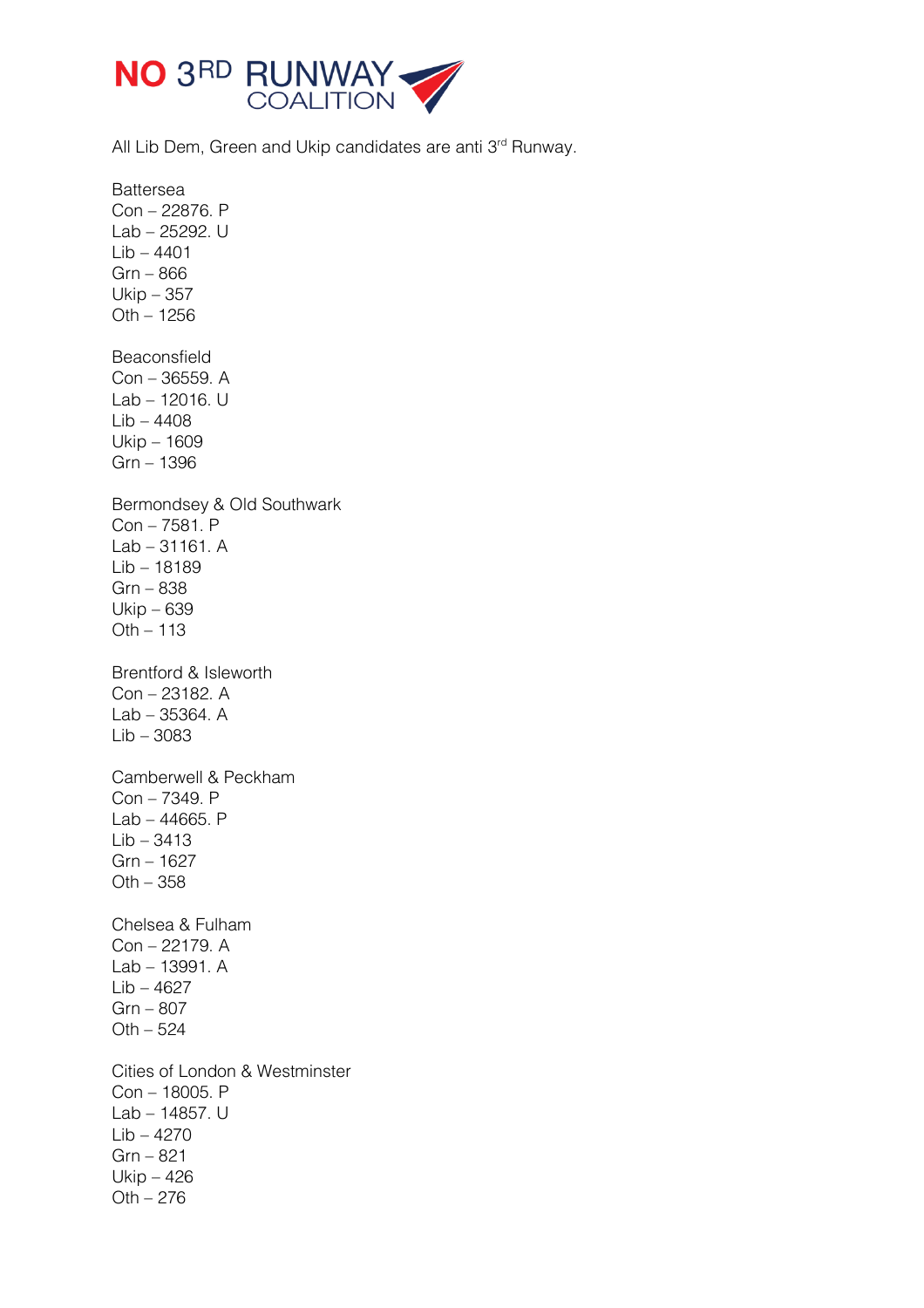

All Lib Dem, Green and Ukip candidates are anti 3<sup>rd</sup> Runway.

Battersea Con – 22876. P Lab – 25292. U Lib – 4401 Grn – 866 Ukip – 357 Oth – 1256 Beaconsfield Con – 36559. A Lab – 12016. U Lib – 4408 Ukip – 1609 Grn – 1396 Bermondsey & Old Southwark Con – 7581. P Lab – 31161. A Lib – 18189 Grn – 838 Ukip – 639 Oth – 113 Brentford & Isleworth Con – 23182. A Lab – 35364. A Lib – 3083 Camberwell & Peckham Con – 7349. P Lab – 44665. P Lib – 3413 Grn – 1627 Oth – 358 Chelsea & Fulham Con – 22179. A Lab – 13991. A Lib – 4627 Grn – 807  $Oth - 524$ Cities of London & Westminster Con – 18005. P Lab – 14857. U  $Lib - 4270$ Grn – 821 Ukip – 426 Oth – 276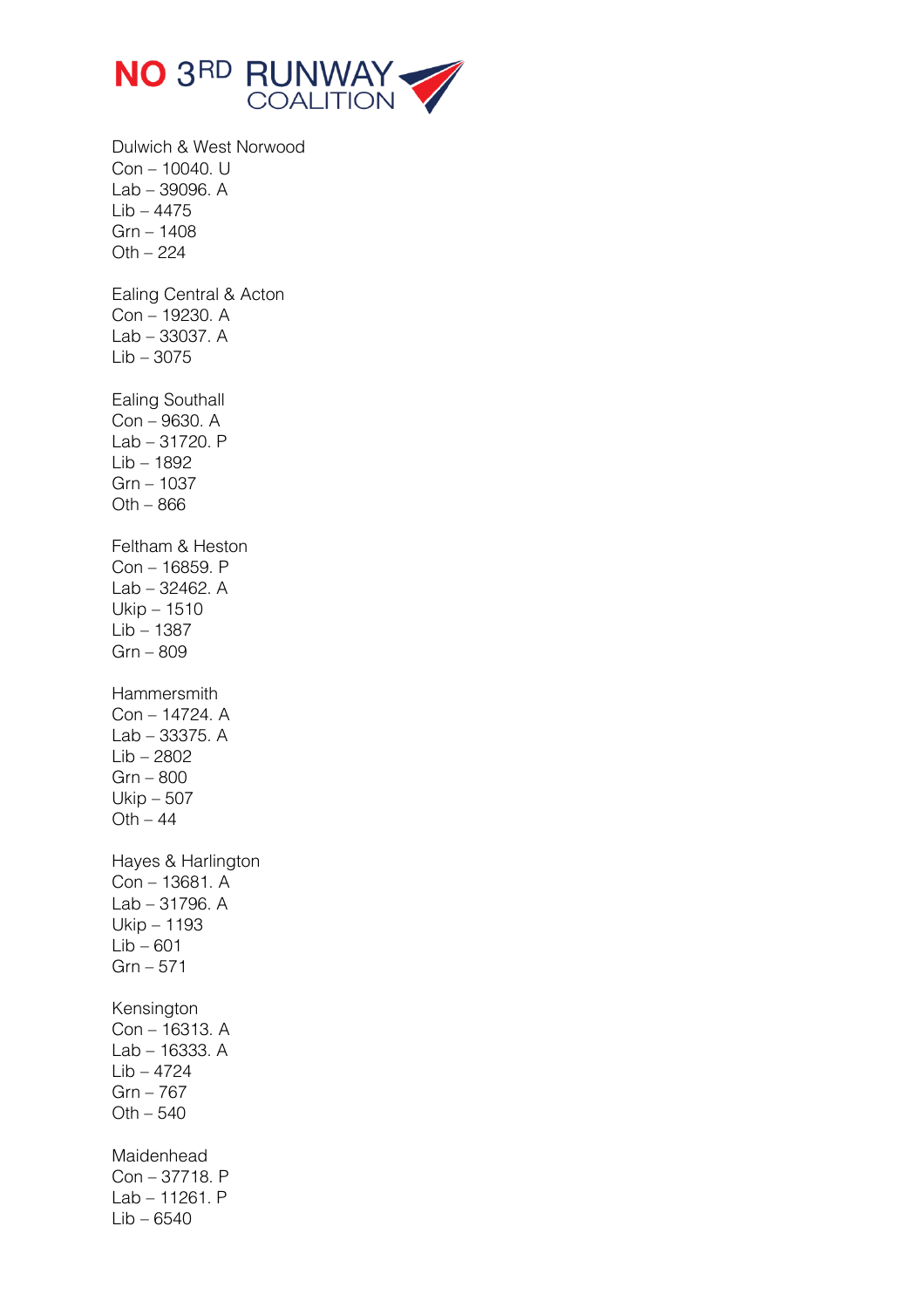

Dulwich & West Norwood Con – 10040. U Lab – 39096. A Lib – 4475 Grn – 1408  $Oth - 224$ Ealing Central & Acton Con – 19230. A Lab – 33037. A Lib – 3075 Ealing Southall Con – 9630. A Lab – 31720. P Lib – 1892 Grn – 1037  $Oth - 866$ Feltham & Heston Con – 16859. P Lab – 32462. A Ukip – 1510 Lib – 1387 Grn – 809 **Hammersmith** Con – 14724. A Lab – 33375. A Lib – 2802 Grn – 800 Ukip – 507  $Oth - 44$ Hayes & Harlington Con – 13681. A Lab – 31796. A Ukip – 1193  $Lib - 601$ Grn – 571 Kensington Con – 16313. A Lab – 16333. A Lib – 4724 Grn – 767 Oth – 540 Maidenhead Con – 37718. P Lab – 11261. P Lib – 6540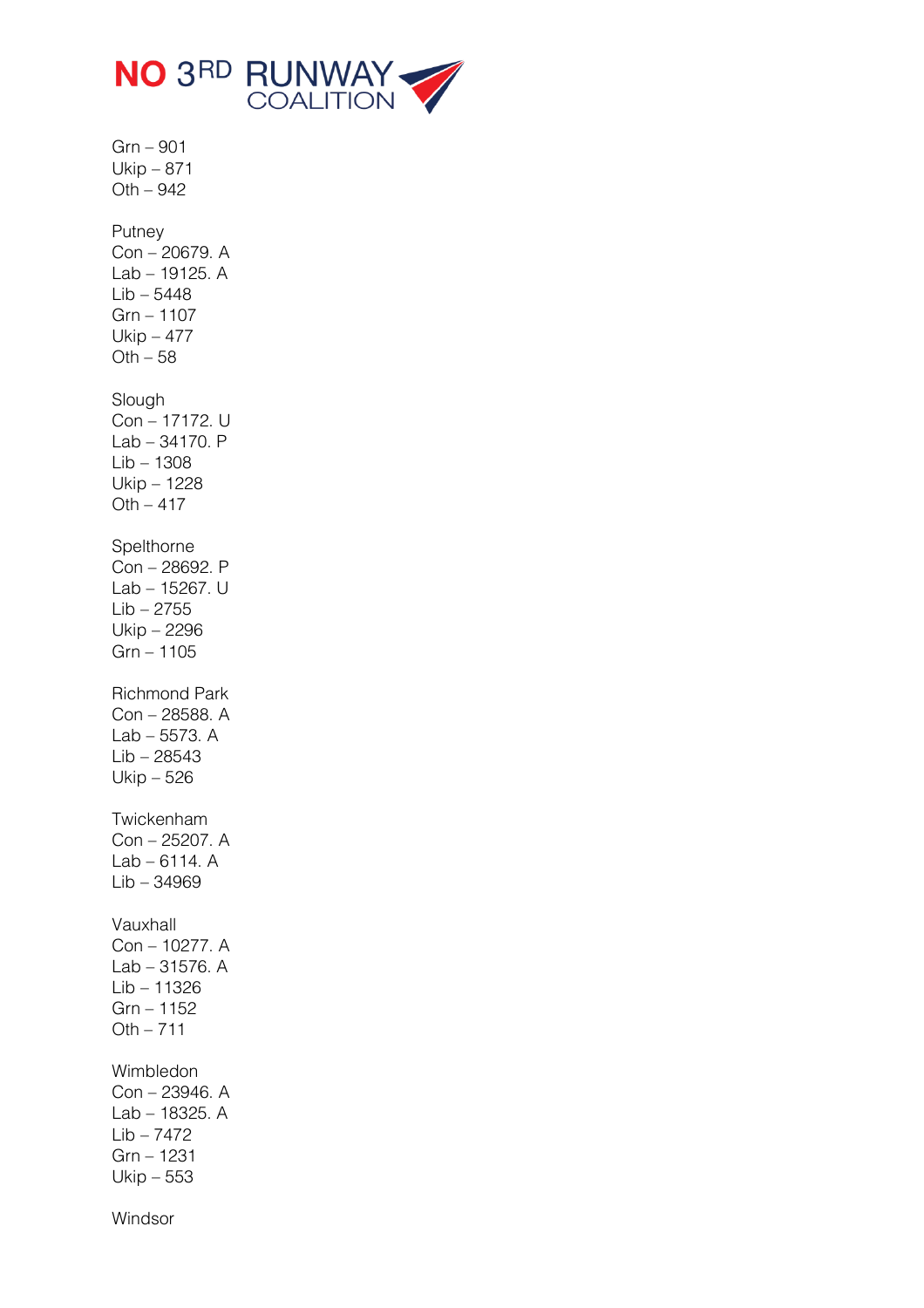

Grn – 901 Ukip – 871 Oth – 942 Putney Con – 20679. A Lab – 19125. A Lib – 5448 Grn – 1107 Ukip – 477  $Oth - 58$ Slough Con – 17172. U Lab – 34170. P Lib – 1308 Ukip – 1228  $Oth - 417$ Spelthorne Con – 28692. P Lab – 15267. U Lib – 2755 Ukip – 2296 Grn – 1105 Richmond Park Con – 28588. A Lab – 5573. A Lib – 28543 Ukip – 526 Twickenham Con – 25207. A Lab – 6114. A Lib – 34969 Vauxhall Con – 10277. A Lab – 31576. A Lib – 11326 Grn – 1152  $Oth - 711$ Wimbledon Con – 23946. A Lab – 18325. A  $Lib - 7472$ Grn – 1231 Ukip – 553

Windsor